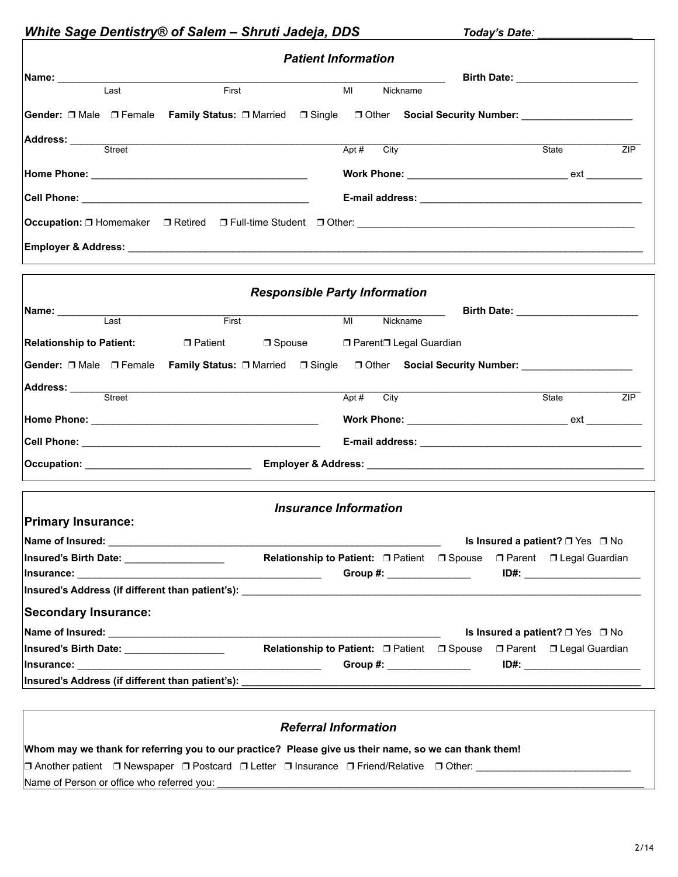|                                                                                                                                                                                                                                                                                                                                                                                                                                                                                                                                                  |                                                                             |                                      | <b>Patient Information</b>   |                                                                       |                                            |                    |     |
|--------------------------------------------------------------------------------------------------------------------------------------------------------------------------------------------------------------------------------------------------------------------------------------------------------------------------------------------------------------------------------------------------------------------------------------------------------------------------------------------------------------------------------------------------|-----------------------------------------------------------------------------|--------------------------------------|------------------------------|-----------------------------------------------------------------------|--------------------------------------------|--------------------|-----|
|                                                                                                                                                                                                                                                                                                                                                                                                                                                                                                                                                  |                                                                             |                                      |                              |                                                                       |                                            |                    |     |
| Last                                                                                                                                                                                                                                                                                                                                                                                                                                                                                                                                             | First                                                                       |                                      | MI<br>Nickname               |                                                                       | Birth Date: <u>_______________________</u> |                    |     |
| Gender: □ Male □ Female Family Status: □ Married □ Single □ Other Social Security Number: ____________________                                                                                                                                                                                                                                                                                                                                                                                                                                   |                                                                             |                                      |                              |                                                                       |                                            |                    |     |
|                                                                                                                                                                                                                                                                                                                                                                                                                                                                                                                                                  |                                                                             |                                      |                              |                                                                       |                                            |                    |     |
| Address: Street                                                                                                                                                                                                                                                                                                                                                                                                                                                                                                                                  |                                                                             |                                      | Apt $#$<br>City              |                                                                       | State                                      |                    | ZIP |
|                                                                                                                                                                                                                                                                                                                                                                                                                                                                                                                                                  |                                                                             |                                      |                              |                                                                       |                                            |                    |     |
|                                                                                                                                                                                                                                                                                                                                                                                                                                                                                                                                                  |                                                                             |                                      |                              |                                                                       |                                            |                    |     |
|                                                                                                                                                                                                                                                                                                                                                                                                                                                                                                                                                  |                                                                             |                                      |                              |                                                                       |                                            |                    |     |
|                                                                                                                                                                                                                                                                                                                                                                                                                                                                                                                                                  |                                                                             |                                      |                              |                                                                       |                                            |                    |     |
|                                                                                                                                                                                                                                                                                                                                                                                                                                                                                                                                                  |                                                                             |                                      |                              |                                                                       |                                            |                    |     |
|                                                                                                                                                                                                                                                                                                                                                                                                                                                                                                                                                  |                                                                             |                                      |                              |                                                                       |                                            |                    |     |
|                                                                                                                                                                                                                                                                                                                                                                                                                                                                                                                                                  |                                                                             |                                      |                              |                                                                       |                                            |                    |     |
|                                                                                                                                                                                                                                                                                                                                                                                                                                                                                                                                                  |                                                                             | <b>Responsible Party Information</b> |                              |                                                                       |                                            |                    |     |
| Name: ___________<br>Last                                                                                                                                                                                                                                                                                                                                                                                                                                                                                                                        | First                                                                       |                                      | Nickname<br>M                |                                                                       |                                            |                    |     |
|                                                                                                                                                                                                                                                                                                                                                                                                                                                                                                                                                  |                                                                             |                                      |                              |                                                                       |                                            |                    |     |
|                                                                                                                                                                                                                                                                                                                                                                                                                                                                                                                                                  | <b>Relationship to Patient:</b> □ Patient □ Spouse □ Parent□ Legal Guardian |                                      |                              |                                                                       |                                            |                    |     |
|                                                                                                                                                                                                                                                                                                                                                                                                                                                                                                                                                  |                                                                             |                                      |                              |                                                                       |                                            |                    |     |
|                                                                                                                                                                                                                                                                                                                                                                                                                                                                                                                                                  |                                                                             |                                      |                              |                                                                       |                                            |                    |     |
|                                                                                                                                                                                                                                                                                                                                                                                                                                                                                                                                                  |                                                                             |                                      | City<br>Apt #                |                                                                       |                                            | <b>State State</b> |     |
|                                                                                                                                                                                                                                                                                                                                                                                                                                                                                                                                                  |                                                                             |                                      |                              |                                                                       |                                            |                    |     |
|                                                                                                                                                                                                                                                                                                                                                                                                                                                                                                                                                  |                                                                             |                                      |                              |                                                                       |                                            |                    |     |
|                                                                                                                                                                                                                                                                                                                                                                                                                                                                                                                                                  |                                                                             |                                      |                              |                                                                       |                                            |                    |     |
|                                                                                                                                                                                                                                                                                                                                                                                                                                                                                                                                                  |                                                                             |                                      |                              |                                                                       |                                            |                    |     |
|                                                                                                                                                                                                                                                                                                                                                                                                                                                                                                                                                  |                                                                             |                                      |                              |                                                                       |                                            |                    |     |
|                                                                                                                                                                                                                                                                                                                                                                                                                                                                                                                                                  |                                                                             |                                      | <b>Insurance Information</b> |                                                                       |                                            |                    |     |
|                                                                                                                                                                                                                                                                                                                                                                                                                                                                                                                                                  |                                                                             |                                      |                              |                                                                       | Is Insured a patient? $\Box$ Yes $\Box$ No |                    |     |
|                                                                                                                                                                                                                                                                                                                                                                                                                                                                                                                                                  |                                                                             |                                      |                              | Relationship to Patient: O Patient O Spouse O Parent O Legal Guardian |                                            |                    |     |
|                                                                                                                                                                                                                                                                                                                                                                                                                                                                                                                                                  |                                                                             |                                      | Group #: _______________     |                                                                       | ID#: _________________________             |                    |     |
|                                                                                                                                                                                                                                                                                                                                                                                                                                                                                                                                                  |                                                                             |                                      |                              |                                                                       |                                            |                    |     |
|                                                                                                                                                                                                                                                                                                                                                                                                                                                                                                                                                  |                                                                             |                                      |                              |                                                                       |                                            |                    |     |
|                                                                                                                                                                                                                                                                                                                                                                                                                                                                                                                                                  |                                                                             |                                      |                              |                                                                       | Is Insured a patient? $\Box$ Yes $\Box$ No |                    |     |
|                                                                                                                                                                                                                                                                                                                                                                                                                                                                                                                                                  |                                                                             |                                      |                              | <b>Relationship to Patient: □ Patient □ Spouse</b>                    | $\Box$ Parent $\Box$ Legal Guardian        |                    |     |
| Gender: □ Male □ Female Family Status: □ Married □ Single □ Other Social Security Number: ____________________<br><b>Address:</b> <u>Contract Street</u><br><b>Primary Insurance:</b><br> Insured's Birth Date: ___________________<br>Insured's Address (if different than patient's): Next and the set of the set of the set of the set of the set of the set of the set of the set of the set of the set of the set of the set of the set of the set of the set of<br><b>Secondary Insurance:</b><br>Insured's Birth Date: __________________ |                                                                             |                                      |                              | Group #: ________________                                             | ID#:                                       |                    | ZIP |

|                                            |  |  |                                                                                                                             | Whom may we thank for referring you to our practice? Please give us their name, so we can thank them! |
|--------------------------------------------|--|--|-----------------------------------------------------------------------------------------------------------------------------|-------------------------------------------------------------------------------------------------------|
|                                            |  |  | $\Box$ Another patient $\Box$ Newspaper $\Box$ Postcard $\Box$ Letter $\Box$ Insurance $\Box$ Friend/Relative $\Box$ Other: |                                                                                                       |
| Name of Person or office who referred you: |  |  |                                                                                                                             |                                                                                                       |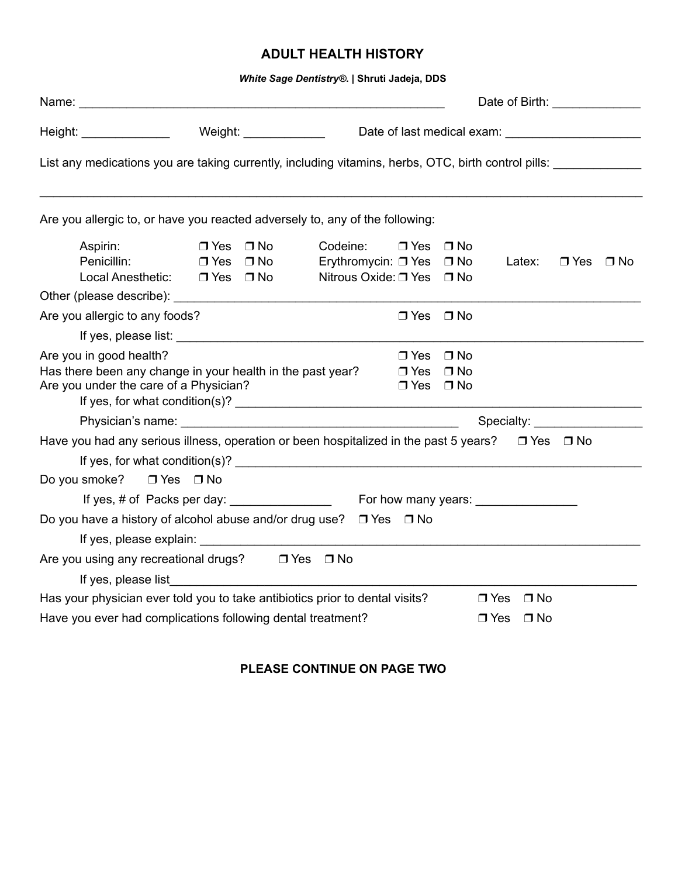# **ADULT HEALTH HISTORY**

*White Sage Dentistry®***. | Shruti Jadeja, DDS** 

|                                                                                                                                                                                                                                |                      |                        |                                             |                                        |                                     | Date of Birth: National Property of Birth: |                      |  |
|--------------------------------------------------------------------------------------------------------------------------------------------------------------------------------------------------------------------------------|----------------------|------------------------|---------------------------------------------|----------------------------------------|-------------------------------------|--------------------------------------------|----------------------|--|
| Height: _______________                                                                                                                                                                                                        |                      | Weight: ______________ |                                             |                                        |                                     |                                            |                      |  |
| List any medications you are taking currently, including vitamins, herbs, OTC, birth control pills:                                                                                                                            |                      |                        |                                             |                                        |                                     |                                            |                      |  |
| Are you allergic to, or have you reacted adversely to, any of the following:                                                                                                                                                   |                      |                        |                                             |                                        |                                     |                                            |                      |  |
| Aspirin:                                                                                                                                                                                                                       | $\Box$ Yes $\Box$ No |                        | Codeine:                                    | $\Box$ Yes                             | $\Box$ No                           |                                            |                      |  |
| Penicillin: □ Yes □ No<br>Local Anesthetic: J Yes                                                                                                                                                                              |                      | $\Box$ No              | Erythromycin: □ Yes<br>Nitrous Oxide: □ Yes |                                        | $\Box$ No<br>$\Box$ No              | Latex:                                     | $\Box$ Yes $\Box$ No |  |
|                                                                                                                                                                                                                                |                      |                        |                                             |                                        |                                     |                                            |                      |  |
| Are you allergic to any foods?                                                                                                                                                                                                 |                      |                        |                                             | $\Box$ Yes $\Box$ No                   |                                     |                                            |                      |  |
|                                                                                                                                                                                                                                |                      |                        |                                             |                                        |                                     |                                            |                      |  |
| Are you in good health?<br>Has there been any change in your health in the past year?<br>Are you under the care of a Physician?                                                                                                |                      |                        |                                             | $\Box$ Yes<br>$\Box$ Yes<br>$\Box$ Yes | $\Box$ No<br>$\Box$ No<br>$\Box$ No |                                            |                      |  |
|                                                                                                                                                                                                                                |                      |                        |                                             |                                        |                                     | Specialty: ____________________            |                      |  |
| Have you had any serious illness, operation or been hospitalized in the past 5 years?                                                                                                                                          |                      |                        |                                             |                                        |                                     |                                            | $\Box$ Yes $\Box$ No |  |
| Do you smoke? □ Yes □ No                                                                                                                                                                                                       |                      |                        |                                             |                                        |                                     |                                            |                      |  |
|                                                                                                                                                                                                                                |                      |                        |                                             |                                        |                                     |                                            |                      |  |
| Do you have a history of alcohol abuse and/or drug use? $\Box$ Yes $\Box$ No                                                                                                                                                   |                      |                        |                                             |                                        |                                     |                                            |                      |  |
|                                                                                                                                                                                                                                |                      |                        |                                             |                                        |                                     |                                            |                      |  |
| Are you using any recreational drugs? □ Yes □ No                                                                                                                                                                               |                      |                        |                                             |                                        |                                     |                                            |                      |  |
| If yes, please list and the state of the state of the state of the state of the state of the state of the state of the state of the state of the state of the state of the state of the state of the state of the state of the |                      |                        |                                             |                                        |                                     |                                            |                      |  |
| Has your physician ever told you to take antibiotics prior to dental visits?                                                                                                                                                   |                      |                        |                                             |                                        |                                     | $\Box$ Yes<br>$\Box$ No                    |                      |  |
| Have you ever had complications following dental treatment?                                                                                                                                                                    |                      |                        |                                             |                                        |                                     | $\square$ No<br>$\Box$ Yes                 |                      |  |

**PLEASE CONTINUE ON PAGE TWO**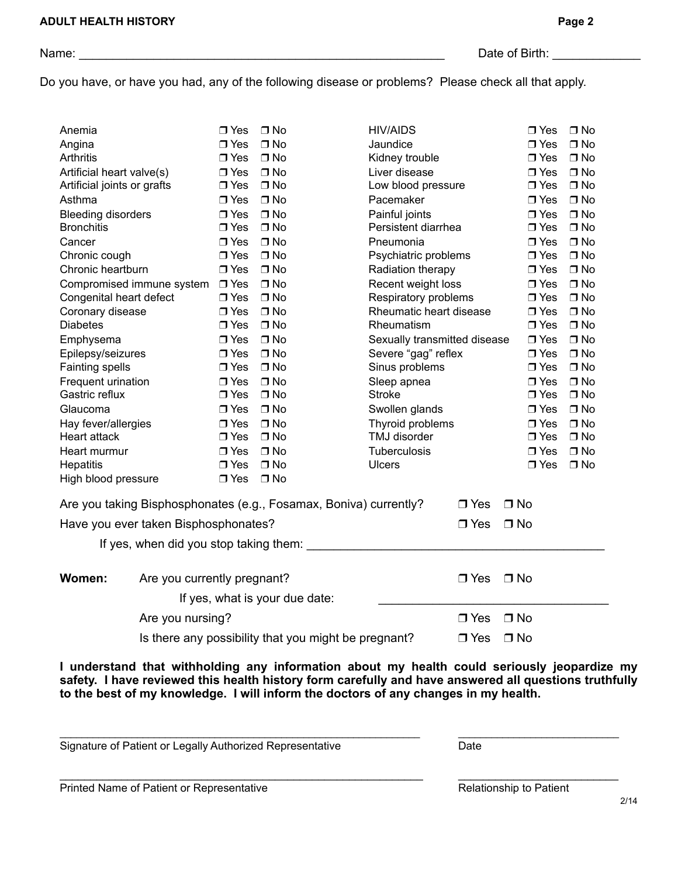Do you have, or have you had, any of the following disease or problems? Please check all that apply.

| Anemia                      |                                      | $\Box$ Yes    | $\Box$ No                                                         | <b>HIV/AIDS</b>              |            | $\Box$ Yes    | $\Box$ No |
|-----------------------------|--------------------------------------|---------------|-------------------------------------------------------------------|------------------------------|------------|---------------|-----------|
| Angina                      |                                      | $\Box$ Yes    | $\Box$ No                                                         | Jaundice                     |            | $\Box$ Yes    | $\Box$ No |
| <b>Arthritis</b>            |                                      | $\Box$ Yes    | $\Box$ No                                                         | Kidney trouble               |            | $\Box$ Yes    | $\Box$ No |
| Artificial heart valve(s)   |                                      | $\Box$ Yes    | $\Box$ No                                                         | Liver disease                |            | $\Box$ Yes    | $\Box$ No |
| Artificial joints or grafts |                                      | $\square$ Yes | $\Box$ No                                                         | Low blood pressure           |            | $\Box$ Yes    | $\Box$ No |
| Asthma                      |                                      | $\Box$ Yes    | $\Box$ No                                                         | Pacemaker                    |            | $\Box$ Yes    | $\Box$ No |
| <b>Bleeding disorders</b>   |                                      | $\Box$ Yes    | $\Box$ No                                                         | Painful joints               |            | $\Box$ Yes    | $\Box$ No |
| <b>Bronchitis</b>           |                                      | $\Box$ Yes    | $\Box$ No                                                         | Persistent diarrhea          |            | $\Box$ Yes    | $\Box$ No |
| Cancer                      |                                      | $\Box$ Yes    | $\Box$ No                                                         | Pneumonia                    |            | $\Box$ Yes    | $\Box$ No |
| Chronic cough               |                                      | $\Box$ Yes    | $\Box$ No                                                         | Psychiatric problems         |            | $\Box$ Yes    | $\Box$ No |
| Chronic heartburn           |                                      | $\Box$ Yes    | $\Box$ No                                                         | Radiation therapy            |            | $\Box$ Yes    | $\Box$ No |
|                             | Compromised immune system            | $\Box$ Yes    | $\Box$ No                                                         | Recent weight loss           |            | $\Box$ Yes    | $\Box$ No |
| Congenital heart defect     |                                      | $\Box$ Yes    | $\Box$ No                                                         | Respiratory problems         |            | $\square$ Yes | $\Box$ No |
| Coronary disease            |                                      | $\Box$ Yes    | $\Box$ No                                                         | Rheumatic heart disease      |            | $\Box$ Yes    | $\Box$ No |
| <b>Diabetes</b>             |                                      | $\Box$ Yes    | $\Box$ No                                                         | Rheumatism                   |            | $\square$ Yes | $\Box$ No |
| Emphysema                   |                                      | $\Box$ Yes    | $\Box$ No                                                         | Sexually transmitted disease |            | $\Box$ Yes    | $\Box$ No |
| Epilepsy/seizures           |                                      | $\Box$ Yes    | $\Box$ No                                                         | Severe "gag" reflex          |            | $\Box$ Yes    | $\Box$ No |
| Fainting spells             |                                      | $\Box$ Yes    | $\Box$ No                                                         | Sinus problems               |            | $\Box$ Yes    | $\Box$ No |
| Frequent urination          |                                      | $\Box$ Yes    | $\Box$ No                                                         | Sleep apnea                  |            | $\Box$ Yes    | $\Box$ No |
| Gastric reflux              |                                      | $\Box$ Yes    | $\Box$ No                                                         | <b>Stroke</b>                |            | $\Box$ Yes    | $\Box$ No |
| Glaucoma                    |                                      | $\Box$ Yes    | $\Box$ No                                                         | Swollen glands               |            | $\Box$ Yes    | $\Box$ No |
| Hay fever/allergies         |                                      | $\square$ Yes | $\Box$ No                                                         | Thyroid problems             |            | $\Box$ Yes    | $\Box$ No |
| Heart attack                |                                      | $\Box$ Yes    | $\Box$ No                                                         | TMJ disorder                 |            | $\Box$ Yes    | $\Box$ No |
| Heart murmur                |                                      | $\Box$ Yes    | $\Box$ No                                                         | Tuberculosis                 |            | $\Box$ Yes    | $\Box$ No |
| Hepatitis                   |                                      | $\Box$ Yes    | $\Box$ No                                                         | <b>Ulcers</b>                |            | $\Box$ Yes    | $\Box$ No |
| High blood pressure         |                                      | $\Box$ Yes    | $\Box$ No                                                         |                              |            |               |           |
|                             |                                      |               | Are you taking Bisphosphonates (e.g., Fosamax, Boniva) currently? |                              | $\Box$ Yes | $\Box$ No     |           |
|                             | Have you ever taken Bisphosphonates? |               |                                                                   |                              | $\Box$ Yes | $\Box$ No     |           |
|                             |                                      |               | If yes, when did you stop taking them:                            |                              |            |               |           |
|                             |                                      |               |                                                                   |                              |            |               |           |
| Women:                      | Are you currently pregnant?          |               |                                                                   |                              | $\Box$ Yes | $\Box$ No     |           |
|                             |                                      |               | If yes, what is your due date:                                    |                              |            |               |           |
|                             | Are you nursing?                     |               |                                                                   |                              | $\Box$ Yes | $\Box$ No     |           |
|                             |                                      |               | Is there any possibility that you might be pregnant?              |                              | $\Box$ Yes | $\Box$ No     |           |

**I understand that withholding any information about my health could seriously jeopardize my safety. I have reviewed this health history form carefully and have answered all questions truthfully to the best of my knowledge. I will inform the doctors of any changes in my health.** 

\_\_\_\_\_\_\_\_\_\_\_\_\_\_\_\_\_\_\_\_\_\_\_\_\_\_\_\_\_\_\_\_\_\_\_\_\_\_\_\_\_\_\_\_\_\_\_\_\_\_\_\_\_\_\_\_\_\_\_\_\_\_\_\_\_ \_\_\_\_\_\_\_\_\_\_\_\_\_\_\_\_\_\_\_\_\_\_\_\_\_\_\_\_\_

 $\_$  ,  $\_$  ,  $\_$  ,  $\_$  ,  $\_$  ,  $\_$  ,  $\_$  ,  $\_$  ,  $\_$  ,  $\_$  ,  $\_$  ,  $\_$  ,  $\_$  ,  $\_$  ,  $\_$  ,  $\_$  ,  $\_$  ,  $\_$  ,  $\_$  ,  $\_$  ,  $\_$  ,  $\_$  ,  $\_$  ,  $\_$  ,  $\_$  ,  $\_$  ,  $\_$  ,  $\_$  ,  $\_$  ,  $\_$  ,  $\_$  ,  $\_$  ,  $\_$  ,  $\_$  ,  $\_$  ,  $\_$  ,  $\_$  ,

Signature of Patient or Legally Authorized Representative Date

Printed Name of Patient or Representative Relationship to Patient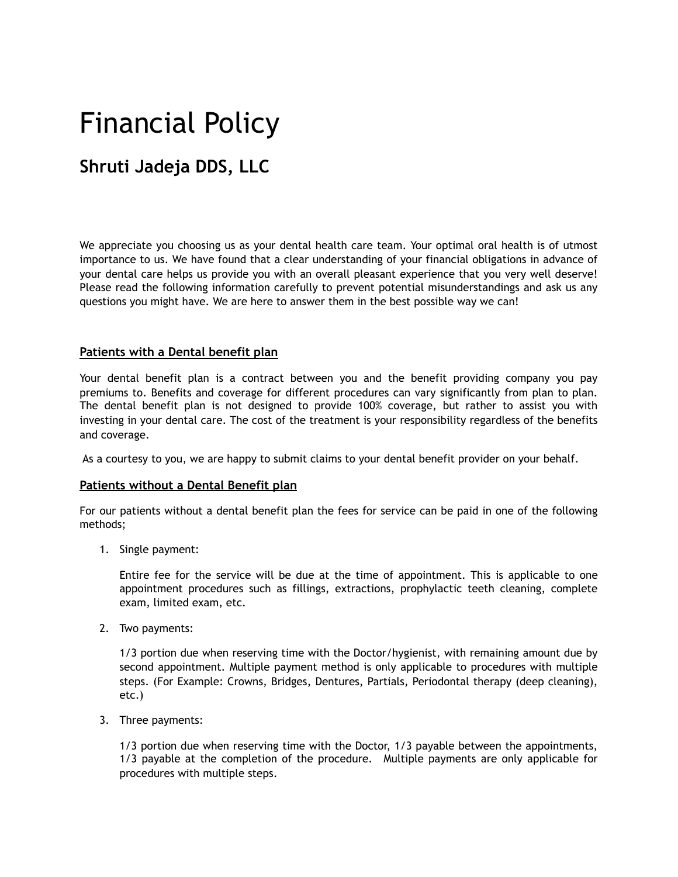# Financial Policy

# **Shruti Jadeja DDS, LLC**

We appreciate you choosing us as your dental health care team. Your optimal oral health is of utmost importance to us. We have found that a clear understanding of your financial obligations in advance of your dental care helps us provide you with an overall pleasant experience that you very well deserve! Please read the following information carefully to prevent potential misunderstandings and ask us any questions you might have. We are here to answer them in the best possible way we can!

#### **Patients with a Dental benefit plan**

Your dental benefit plan is a contract between you and the benefit providing company you pay premiums to. Benefits and coverage for different procedures can vary significantly from plan to plan. The dental benefit plan is not designed to provide 100% coverage, but rather to assist you with investing in your dental care. The cost of the treatment is your responsibility regardless of the benefits and coverage.

As a courtesy to you, we are happy to submit claims to your dental benefit provider on your behalf.

#### **Patients without a Dental Benefit plan**

For our patients without a dental benefit plan the fees for service can be paid in one of the following methods;

1. Single payment:

Entire fee for the service will be due at the time of appointment. This is applicable to one appointment procedures such as fillings, extractions, prophylactic teeth cleaning, complete exam, limited exam, etc.

2. Two payments:

1/3 portion due when reserving time with the Doctor/hygienist, with remaining amount due by second appointment. Multiple payment method is only applicable to procedures with multiple steps. (For Example: Crowns, Bridges, Dentures, Partials, Periodontal therapy (deep cleaning), etc.)

3. Three payments:

1/3 portion due when reserving time with the Doctor, 1/3 payable between the appointments, 1/3 payable at the completion of the procedure. Multiple payments are only applicable for procedures with multiple steps.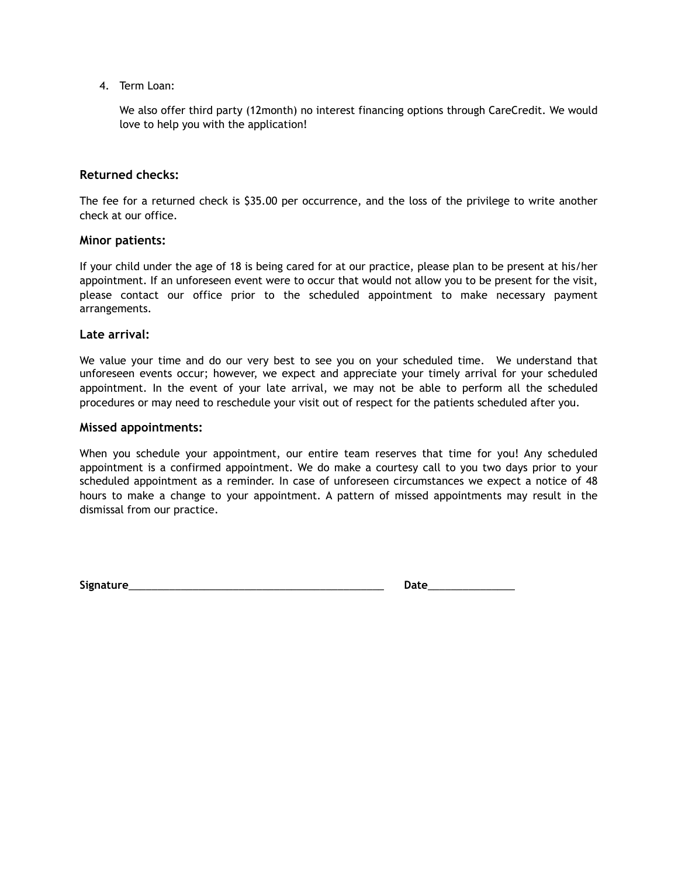4. Term Loan:

We also offer third party (12month) no interest financing options through CareCredit. We would love to help you with the application!

#### **Returned checks:**

The fee for a returned check is \$35.00 per occurrence, and the loss of the privilege to write another check at our office.

#### **Minor patients:**

If your child under the age of 18 is being cared for at our practice, please plan to be present at his/her appointment. If an unforeseen event were to occur that would not allow you to be present for the visit, please contact our office prior to the scheduled appointment to make necessary payment arrangements.

#### **Late arrival:**

We value your time and do our very best to see you on your scheduled time. We understand that unforeseen events occur; however, we expect and appreciate your timely arrival for your scheduled appointment. In the event of your late arrival, we may not be able to perform all the scheduled procedures or may need to reschedule your visit out of respect for the patients scheduled after you.

#### **Missed appointments:**

When you schedule your appointment, our entire team reserves that time for you! Any scheduled appointment is a confirmed appointment. We do make a courtesy call to you two days prior to your scheduled appointment as a reminder. In case of unforeseen circumstances we expect a notice of 48 hours to make a change to your appointment. A pattern of missed appointments may result in the dismissal from our practice.

**Signature**\_\_\_\_\_\_\_\_\_\_\_\_\_\_\_\_\_\_\_\_\_\_\_\_\_\_\_\_\_\_\_\_\_\_\_\_\_\_\_\_\_\_\_\_ **Date**\_\_\_\_\_\_\_\_\_\_\_\_\_\_\_

| м |
|---|
|---|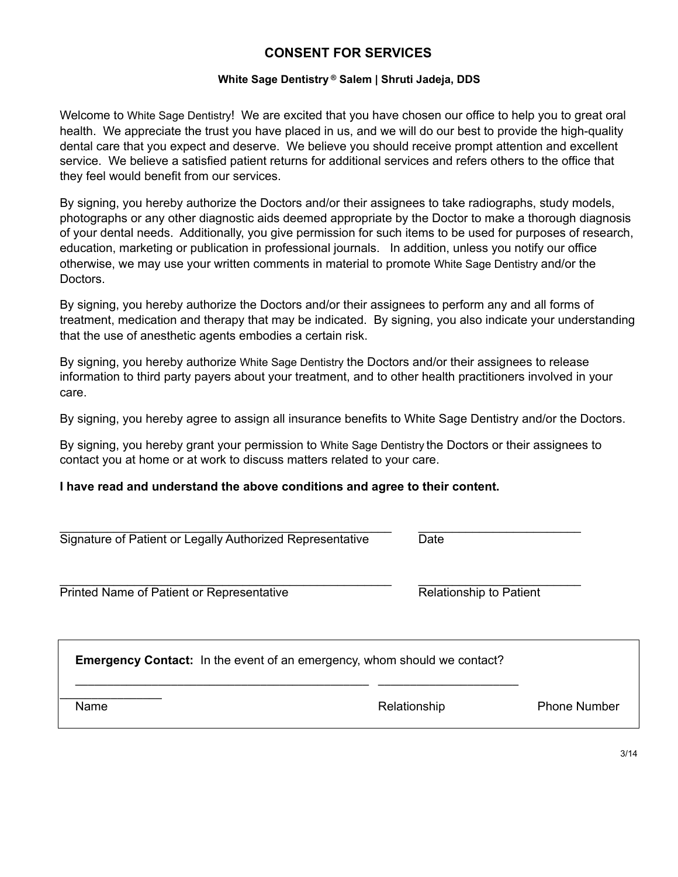# **CONSENT FOR SERVICES**

#### **White Sage Dentistry ® Salem | Shruti Jadeja, DDS**

Welcome to White Sage Dentistry! We are excited that you have chosen our office to help you to great oral health. We appreciate the trust you have placed in us, and we will do our best to provide the high-quality dental care that you expect and deserve. We believe you should receive prompt attention and excellent service. We believe a satisfied patient returns for additional services and refers others to the office that they feel would benefit from our services.

By signing, you hereby authorize the Doctors and/or their assignees to take radiographs, study models, photographs or any other diagnostic aids deemed appropriate by the Doctor to make a thorough diagnosis of your dental needs. Additionally, you give permission for such items to be used for purposes of research, education, marketing or publication in professional journals. In addition, unless you notify our office otherwise, we may use your written comments in material to promote White Sage Dentistry and/or the Doctors.

By signing, you hereby authorize the Doctors and/or their assignees to perform any and all forms of treatment, medication and therapy that may be indicated. By signing, you also indicate your understanding that the use of anesthetic agents embodies a certain risk.

By signing, you hereby authorize White Sage Dentistry the Doctors and/or their assignees to release information to third party payers about your treatment, and to other health practitioners involved in your care.

By signing, you hereby agree to assign all insurance benefits to White Sage Dentistry and/or the Doctors.

By signing, you hereby grant your permission to White Sage Dentistry the Doctors or their assignees to contact you at home or at work to discuss matters related to your care.

#### **I have read and understand the above conditions and agree to their content.**

| Signature of Patient or Legally Authorized Representative                       | Date                           |  |
|---------------------------------------------------------------------------------|--------------------------------|--|
| Printed Name of Patient or Representative                                       | <b>Relationship to Patient</b> |  |
|                                                                                 |                                |  |
| <b>Emergency Contact:</b> In the event of an emergency, whom should we contact? |                                |  |